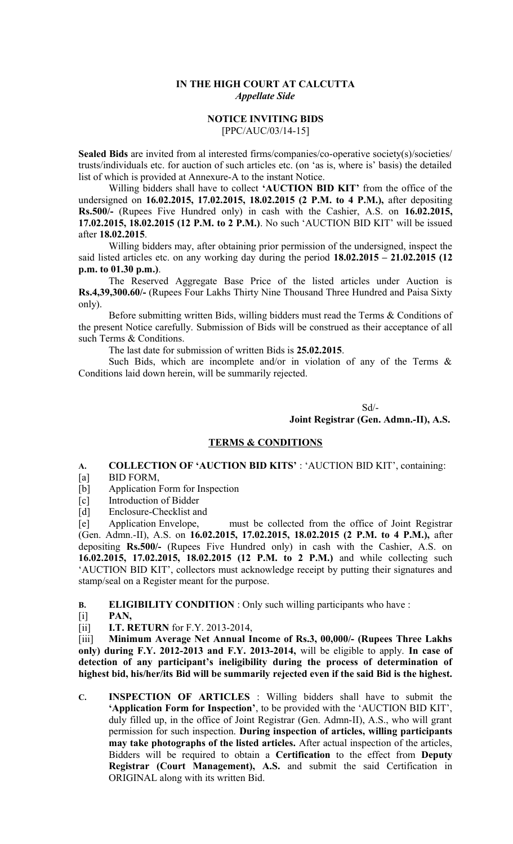### **IN THE HIGH COURT AT CALCUTTA** *Appellate Side*

#### **NOTICE INVITING BIDS** [PPC/AUC/03/14-15]

**Sealed Bids** are invited from al interested firms/companies/co-operative society(s)/societies/ trusts/individuals etc. for auction of such articles etc. (on 'as is, where is' basis) the detailed list of which is provided at Annexure-A to the instant Notice.

Willing bidders shall have to collect **'AUCTION BID KIT'** from the office of the undersigned on **16.02.2015, 17.02.2015, 18.02.2015 (2 P.M. to 4 P.M.),** after depositing **Rs.500/-** (Rupees Five Hundred only) in cash with the Cashier, A.S. on **16.02.2015, 17.02.2015, 18.02.2015 (12 P.M. to 2 P.M.)**. No such 'AUCTION BID KIT' will be issued after **18.02.2015**.

Willing bidders may, after obtaining prior permission of the undersigned, inspect the said listed articles etc. on any working day during the period **18.02.2015 – 21.02.2015 (12 p.m. to 01.30 p.m.)**.

The Reserved Aggregate Base Price of the listed articles under Auction is **Rs.4,39,300.60/-** (Rupees Four Lakhs Thirty Nine Thousand Three Hundred and Paisa Sixty only).

Before submitting written Bids, willing bidders must read the Terms & Conditions of the present Notice carefully. Submission of Bids will be construed as their acceptance of all such Terms & Conditions.

The last date for submission of written Bids is **25.02.2015**.

Such Bids, which are incomplete and/or in violation of any of the Terms  $\&$ Conditions laid down herein, will be summarily rejected.

> Sd/- **Joint Registrar (Gen. Admn.-II), A.S.**

## **TERMS & CONDITIONS**

# **A. COLLECTION OF 'AUCTION BID KITS'** : 'AUCTION BID KIT', containing:

- [a] BID FORM,
- [b] Application Form for Inspection
- [c] Introduction of Bidder
- 

[d] Enclosure-Checklist and<br>[e] Application Envelope, [e] Application Envelope, must be collected from the office of Joint Registrar (Gen. Admn.-II), A.S. on **16.02.2015, 17.02.2015, 18.02.2015 (2 P.M. to 4 P.M.),** after depositing **Rs.500/-** (Rupees Five Hundred only) in cash with the Cashier, A.S. on **16.02.2015, 17.02.2015, 18.02.2015 (12 P.M. to 2 P.M.)** and while collecting such 'AUCTION BID KIT', collectors must acknowledge receipt by putting their signatures and stamp/seal on a Register meant for the purpose.

**B. ELIGIBILITY CONDITION** : Only such willing participants who have :

- [i] **PAN,**
- [ii] **I.T. RETURN** for F.Y. 2013-2014,

[iii] **Minimum Average Net Annual Income of Rs.3, 00,000/- (Rupees Three Lakhs only) during F.Y. 2012-2013 and F.Y. 2013-2014,** will be eligible to apply. **In case of detection of any participant's ineligibility during the process of determination of highest bid, his/her/its Bid will be summarily rejected even if the said Bid is the highest.**

**C. INSPECTION OF ARTICLES** : Willing bidders shall have to submit the **'Application Form for Inspection'**, to be provided with the 'AUCTION BID KIT', duly filled up, in the office of Joint Registrar (Gen. Admn-II), A.S., who will grant permission for such inspection. **During inspection of articles, willing participants may take photographs of the listed articles.** After actual inspection of the articles, Bidders will be required to obtain a **Certification** to the effect from **Deputy Registrar (Court Management), A.S.** and submit the said Certification in ORIGINAL along with its written Bid.